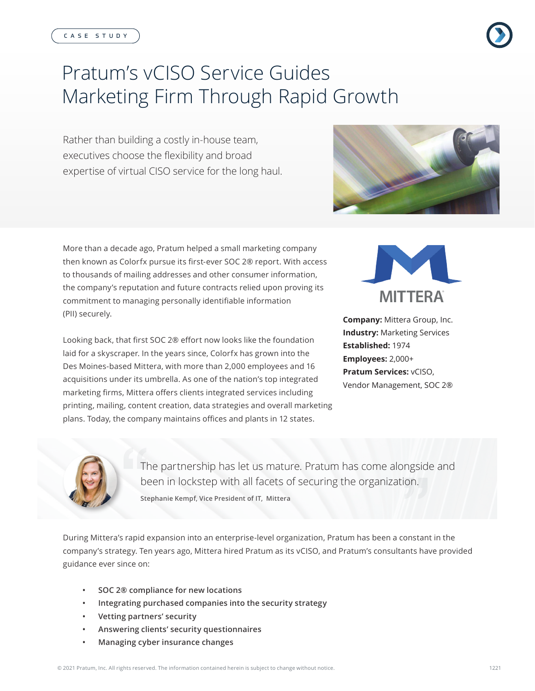# Pratum's vCISO Service Guides Marketing Firm Through Rapid Growth

Rather than building a costly in-house team, executives choose the flexibility and broad expertise of virtual CISO service for the long haul.



More than a decade ago, Pratum helped a small marketing company then known as Colorfx pursue its first-ever SOC 2® report. With access to thousands of mailing addresses and other consumer information, the company's reputation and future contracts relied upon proving its commitment to managing personally identifiable information (PII) securely.

Looking back, that first SOC 2® effort now looks like the foundation laid for a skyscraper. In the years since, Colorfx has grown into the Des Moines-based Mittera, with more than 2,000 employees and 16 acquisitions under its umbrella. As one of the nation's top integrated marketing firms, Mittera offers clients integrated services including printing, mailing, content creation, data strategies and overall marketing plans. Today, the company maintains offices and plants in 12 states.



**Company:** Mittera Group, Inc. **Industry:** Marketing Services **Established:** 1974 **Employees:** 2,000+ **Pratum Services:** vCISO, Vendor Management, SOC 2®



The partnership has let us mature. Pratum has come alongside and been in lockstep with all facets of securing the organization.

**Stephanie Kempf, Vice President of IT, Mittera**

During Mittera's rapid expansion into an enterprise-level organization, Pratum has been a constant in the company's strategy. Ten years ago, Mittera hired Pratum as its vCISO, and Pratum's consultants have provided guidance ever since on:

- **• SOC 2® compliance for new locations**
- **• Integrating purchased companies into the security strategy**
- **• Vetting partners' security**
- **• Answering clients' security questionnaires**
- **• Managing cyber insurance changes**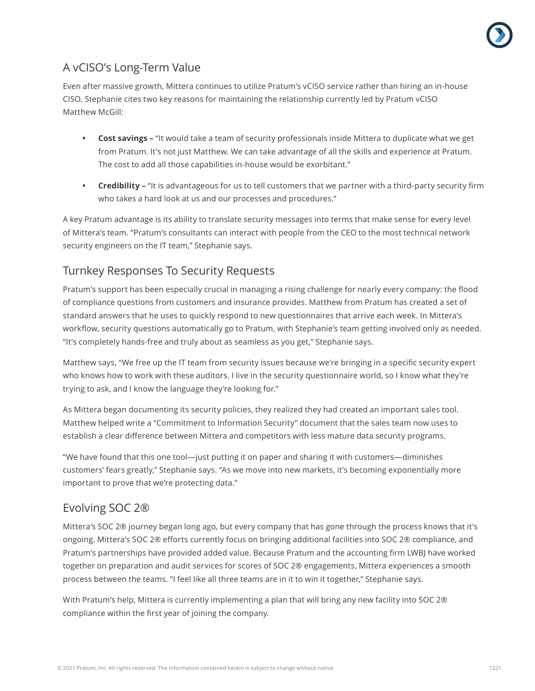

## A vCISO's Long-Term Value

Even after massive growth, Mittera continues to utilize Pratum's vCISO service rather than hiring an in-house CISO. Stephanie cites two key reasons for maintaining the relationship currently led by Pratum vCISO Matthew McGill:

- **• Cost savings –** "It would take a team of security professionals inside Mittera to duplicate what we get from Pratum. It's not just Matthew. We can take advantage of all the skills and experience at Pratum. The cost to add all those capabilities in-house would be exorbitant."
- **• Credibility** "It is advantageous for us to tell customers that we partner with a third-party security firm who takes a hard look at us and our processes and procedures."

A key Pratum advantage is its ability to translate security messages into terms that make sense for every level of Mittera's team. "Pratum's consultants can interact with people from the CEO to the most technical network security engineers on the IT team," Stephanie says.

#### Turnkey Responses To Security Requests

Pratum's support has been especially crucial in managing a rising challenge for nearly every company: the flood of compliance questions from customers and insurance provides. Matthew from Pratum has created a set of standard answers that he uses to quickly respond to new questionnaires that arrive each week. In Mittera's workflow, security questions automatically go to Pratum, with Stephanie's team getting involved only as needed. "It's completely hands-free and truly about as seamless as you get," Stephanie says.

Matthew says, "We free up the IT team from security issues because we're bringing in a specific security expert who knows how to work with these auditors. I live in the security questionnaire world, so I know what they're trying to ask, and I know the language they're looking for."

As Mittera began documenting its security policies, they realized they had created an important sales tool. Matthew helped write a "Commitment to Information Security" document that the sales team now uses to establish a clear difference between Mittera and competitors with less mature data security programs.

"We have found that this one tool—just putting it on paper and sharing it with customers—diminishes customers' fears greatly," Stephanie says. "As we move into new markets, it's becoming exponentially more important to prove that we're protecting data."

#### Evolving SOC 2®

Mittera's SOC 2® journey began long ago, but every company that has gone through the process knows that it's ongoing. Mittera's SOC 2® efforts currently focus on bringing additional facilities into SOC 2® compliance, and Pratum's partnerships have provided added value. Because Pratum and the accounting firm LWBJ have worked together on preparation and audit services for scores of SOC 2® engagements, Mittera experiences a smooth process between the teams. "I feel like all three teams are in it to win it together," Stephanie says.

With Pratum's help, Mittera is currently implementing a plan that will bring any new facility into SOC 2® compliance within the first year of joining the company.